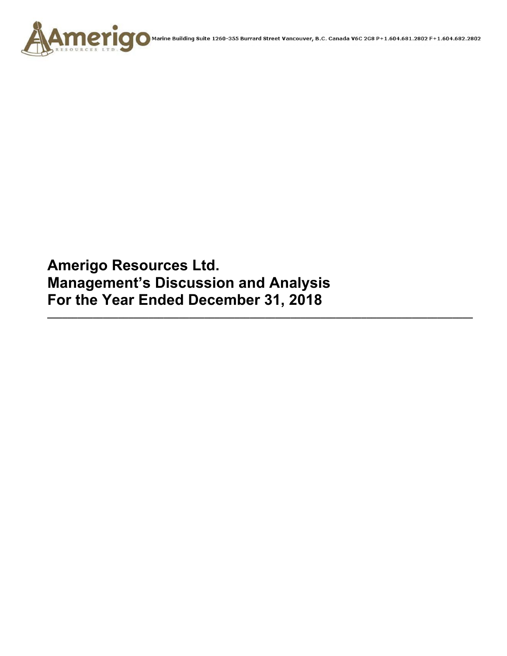

**Amerigo Resources Ltd. Management's Discussion and Analysis For the Year Ended December 31, 2018** 

**\_\_\_\_\_\_\_\_\_\_\_\_\_\_\_\_\_\_\_\_\_\_\_\_\_\_\_\_\_\_\_\_\_\_\_\_\_\_\_\_\_\_\_\_\_\_\_\_\_\_\_\_\_\_\_\_\_\_\_\_\_\_\_\_\_\_\_\_\_\_\_\_\_\_\_\_\_\_\_\_\_\_\_\_**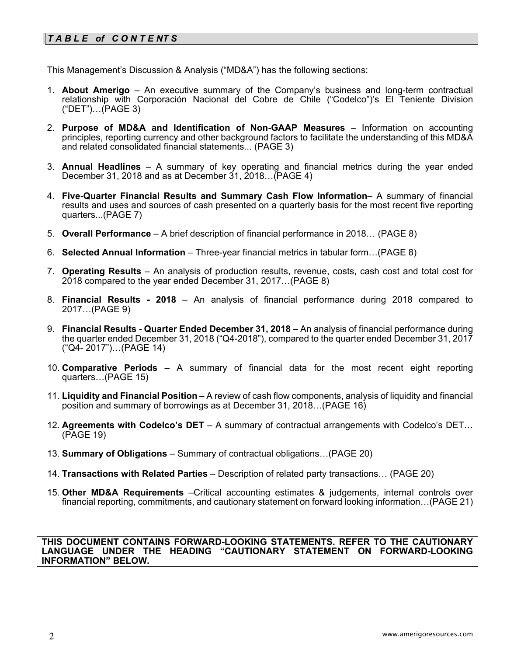# *T A B L E of C O N T E NT S*

This Management's Discussion & Analysis ("MD&A") has the following sections:

- 1. **About Amerigo**  An executive summary of the Company's business and long-term contractual relationship with Corporación Nacional del Cobre de Chile ("Codelco")'s El Teniente Division ("DET")…(PAGE 3)
- 2. **Purpose of MD&A and Identification of Non-GAAP Measures**  Information on accounting principles, reporting currency and other background factors to facilitate the understanding of this MD&A and related consolidated financial statements... (PAGE 3)
- 3. **Annual Headlines** A summary of key operating and financial metrics during the year ended December 31, 2018 and as at December 31, 2018…(PAGE 4)
- 4. **Five-Quarter Financial Results and Summary Cash Flow Information** A summary of financial results and uses and sources of cash presented on a quarterly basis for the most recent five reporting quarters...(PAGE 7)
- 5. **Overall Performance** A brief description of financial performance in 2018… (PAGE 8)
- 6. **Selected Annual Information** Three-year financial metrics in tabular form…(PAGE 8)
- 7. **Operating Results** An analysis of production results, revenue, costs, cash cost and total cost for 2018 compared to the year ended December 31, 2017…(PAGE 8)
- 8. **Financial Results 2018** An analysis of financial performance during 2018 compared to 2017…(PAGE 9)
- 9. **Financial Results Quarter Ended December 31, 2018** An analysis of financial performance during the quarter ended December 31, 2018 ("Q4-2018"), compared to the quarter ended December 31, 2017 ("Q4- 2017")…(PAGE 14)
- 10. **Comparative Periods** A summary of financial data for the most recent eight reporting quarters…(PAGE 15)
- 11. **Liquidity and Financial Position** A review of cash flow components, analysis of liquidity and financial position and summary of borrowings as at December 31, 2018…(PAGE 16)
- 12. **Agreements with Codelco's DET** A summary of contractual arrangements with Codelco's DET… (PAGE 19)
- 13. **Summary of Obligations**  Summary of contractual obligations…(PAGE 20)
- 14. **Transactions with Related Parties** Description of related party transactions… (PAGE 20)
- 15. **Other MD&A Requirements** –Critical accounting estimates & judgements, internal controls over financial reporting, commitments, and cautionary statement on forward looking information…(PAGE 21)

**THIS DOCUMENT CONTAINS FORWARD-LOOKING STATEMENTS. REFER TO THE CAUTIONARY LANGUAGE UNDER THE HEADING "CAUTIONARY STATEMENT ON FORWARD-LOOKING INFORMATION" BELOW.**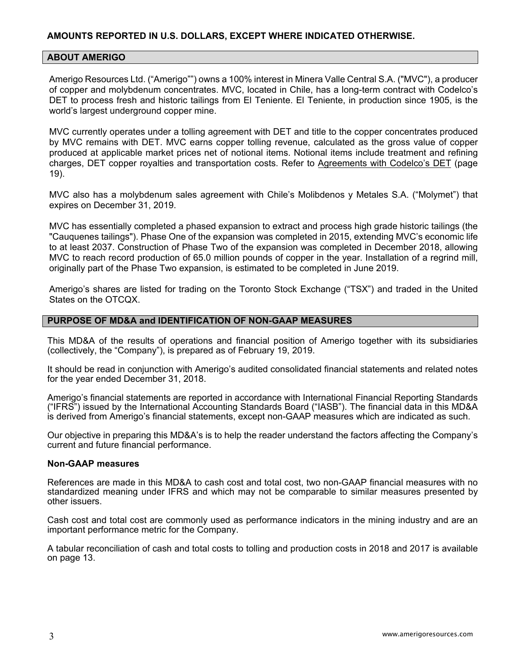## **ABOUT AMERIGO**

Amerigo Resources Ltd. ("Amerigo"") owns a 100% interest in Minera Valle Central S.A. ("MVC"), a producer of copper and molybdenum concentrates. MVC, located in Chile, has a long-term contract with Codelco's DET to process fresh and historic tailings from El Teniente. El Teniente, in production since 1905, is the world's largest underground copper mine.

MVC currently operates under a tolling agreement with DET and title to the copper concentrates produced by MVC remains with DET. MVC earns copper tolling revenue, calculated as the gross value of copper produced at applicable market prices net of notional items. Notional items include treatment and refining charges, DET copper royalties and transportation costs. Refer to Agreements with Codelco's DET (page 19).

MVC also has a molybdenum sales agreement with Chile's Molibdenos y Metales S.A. ("Molymet") that expires on December 31, 2019.

MVC has essentially completed a phased expansion to extract and process high grade historic tailings (the "Cauquenes tailings"). Phase One of the expansion was completed in 2015, extending MVC's economic life to at least 2037. Construction of Phase Two of the expansion was completed in December 2018, allowing MVC to reach record production of 65.0 million pounds of copper in the year. Installation of a regrind mill, originally part of the Phase Two expansion, is estimated to be completed in June 2019.

Amerigo's shares are listed for trading on the Toronto Stock Exchange ("TSX") and traded in the United States on the OTCQX.

#### **PURPOSE OF MD&A and IDENTIFICATION OF NON-GAAP MEASURES**

This MD&A of the results of operations and financial position of Amerigo together with its subsidiaries (collectively, the "Company"), is prepared as of February 19, 2019.

It should be read in conjunction with Amerigo's audited consolidated financial statements and related notes for the year ended December 31, 2018.

Amerigo's financial statements are reported in accordance with International Financial Reporting Standards ("IFRS") issued by the International Accounting Standards Board ("IASB"). The financial data in this MD&A is derived from Amerigo's financial statements, except non-GAAP measures which are indicated as such.

Our objective in preparing this MD&A's is to help the reader understand the factors affecting the Company's current and future financial performance.

#### **Non-GAAP measures**

References are made in this MD&A to cash cost and total cost, two non-GAAP financial measures with no standardized meaning under IFRS and which may not be comparable to similar measures presented by other issuers.

Cash cost and total cost are commonly used as performance indicators in the mining industry and are an important performance metric for the Company.

A tabular reconciliation of cash and total costs to tolling and production costs in 2018 and 2017 is available on page 13.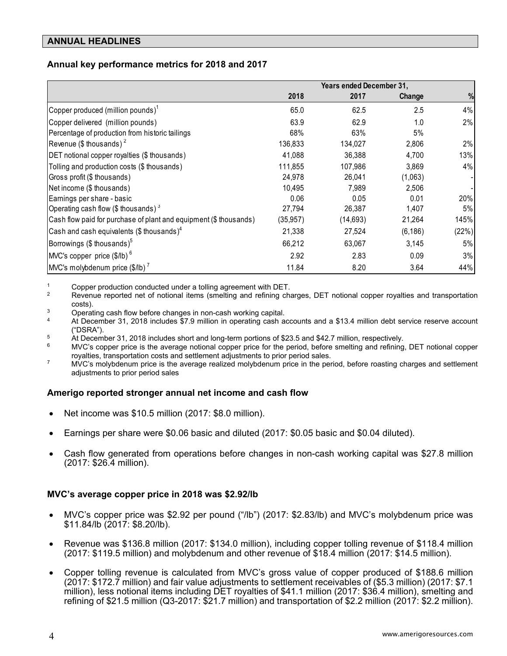#### **ANNUAL HEADLINES**

## **Annual key performance metrics for 2018 and 2017**

|                                                                   |           | Years ended December 31, |          |       |
|-------------------------------------------------------------------|-----------|--------------------------|----------|-------|
|                                                                   | 2018      | 2017                     | Change   | %     |
| Copper produced (million pounds) <sup>1</sup>                     | 65.0      | 62.5                     | 2.5      | 4%    |
| Copper delivered (million pounds)                                 | 63.9      | 62.9                     | 1.0      | 2%    |
| Percentage of production from historic tailings                   | 68%       | 63%                      | 5%       |       |
| Revenue (\$ thousands) <sup>2</sup>                               | 136,833   | 134,027                  | 2,806    | 2%    |
| DET notional copper royalties (\$ thousands)                      | 41,088    | 36,388                   | 4,700    | 13%   |
| Tolling and production costs (\$ thousands)                       | 111,855   | 107,986                  | 3,869    | 4%    |
| Gross profit (\$ thousands)                                       | 24,978    | 26,041                   | (1,063)  |       |
| Net income (\$ thous ands)                                        | 10,495    | 7.989                    | 2,506    |       |
| Earnings per share - basic                                        | 0.06      | 0.05                     | 0.01     | 20%   |
| Operating cash flow (\$ thousands) $3$                            | 27,794    | 26,387                   | 1,407    | 5%    |
| Cash flow paid for purchase of plant and equipment (\$ thousands) | (35, 957) | (14, 693)                | 21,264   | 145%  |
| Cash and cash equivalents (\$ thousands) <sup>4</sup>             | 21,338    | 27,524                   | (6, 186) | (22%) |
| Borrowings (\$ thousands) $5$                                     | 66,212    | 63,067                   | 3,145    | 5%    |
| $\vert$ MVC's copper price (\$/lb) $^6$                           | 2.92      | 2.83                     | 0.09     | 3%    |
| $M/C$ 's molybdenum price (\$/lb) <sup>7</sup>                    | 11.84     | 8.20                     | 3.64     | 44%   |

1 Copper production conducted under a tolling agreement with DET.<br>2 Revenue reported net of notional items (smelting and refining charges, DET notional copper royalties and transportation costs).<br><sup>3</sup> Operating cash flow before changes in non-cash working capital.<br><sup>4</sup> At December 31, 2018 includes \$7.9 million in operating cash accounts and a \$13.4 million debt service reserve account

- ("DSRA").
- 
- <sup>5</sup> At December 31, 2018 includes short and long-term portions of \$23.5 and \$42.7 million, respectively.<br><sup>6</sup> MVC's copper price is the average notional copper price for the period, before smelting and refining, DET notion
- $\sigma$  MVC's molybdenum price is the average realized molybdenum price in the period, before roasting charges and settlement adjustments to prior period sales

#### **Amerigo reported stronger annual net income and cash flow**

- Net income was \$10.5 million (2017: \$8.0 million).
- Earnings per share were \$0.06 basic and diluted (2017: \$0.05 basic and \$0.04 diluted).
- Cash flow generated from operations before changes in non-cash working capital was \$27.8 million (2017: \$26.4 million).

#### **MVC's average copper price in 2018 was \$2.92/lb**

- MVC's copper price was \$2.92 per pound ("/lb") (2017: \$2.83/lb) and MVC's molybdenum price was \$11.84/lb (2017: \$8.20/lb).
- Revenue was \$136.8 million (2017: \$134.0 million), including copper tolling revenue of \$118.4 million (2017: \$119.5 million) and molybdenum and other revenue of \$18.4 million (2017: \$14.5 million).
- Copper tolling revenue is calculated from MVC's gross value of copper produced of \$188.6 million (2017: \$172.7 million) and fair value adjustments to settlement receivables of (\$5.3 million) (2017: \$7.1 million), less notional items including DET royalties of \$41.1 million (2017: \$36.4 million), smelting and refining of \$21.5 million (Q3-2017: \$21.7 million) and transportation of \$2.2 million (2017: \$2.2 million).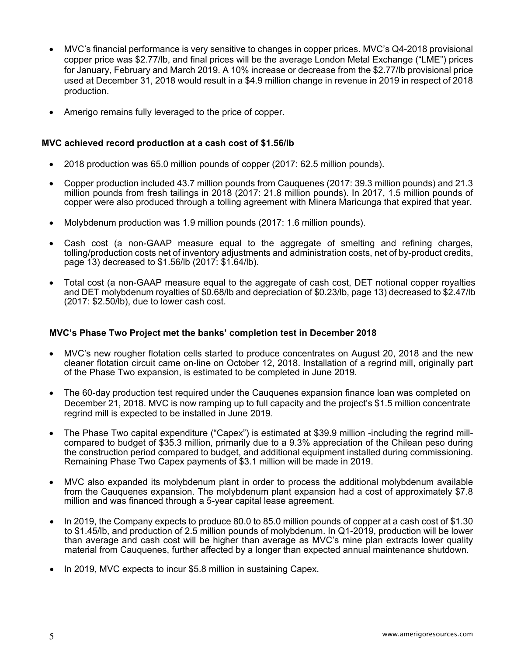- MVC's financial performance is very sensitive to changes in copper prices. MVC's Q4-2018 provisional copper price was \$2.77/lb, and final prices will be the average London Metal Exchange ("LME") prices for January, February and March 2019. A 10% increase or decrease from the \$2.77/lb provisional price used at December 31, 2018 would result in a \$4.9 million change in revenue in 2019 in respect of 2018 production.
- Amerigo remains fully leveraged to the price of copper.

#### **MVC achieved record production at a cash cost of \$1.56/lb**

- 2018 production was 65.0 million pounds of copper (2017: 62.5 million pounds).
- Copper production included 43.7 million pounds from Cauquenes (2017: 39.3 million pounds) and 21.3 million pounds from fresh tailings in 2018 (2017: 21.8 million pounds). In 2017, 1.5 million pounds of copper were also produced through a tolling agreement with Minera Maricunga that expired that year.
- Molybdenum production was 1.9 million pounds (2017: 1.6 million pounds).
- Cash cost (a non-GAAP measure equal to the aggregate of smelting and refining charges, tolling/production costs net of inventory adjustments and administration costs, net of by-product credits, page 13) decreased to \$1.56/lb (2017: \$1.64/lb).
- Total cost (a non-GAAP measure equal to the aggregate of cash cost, DET notional copper royalties and DET molybdenum royalties of \$0.68/lb and depreciation of \$0.23/lb, page 13) decreased to \$2.47/lb  $(2017: $2.50$ <sup>[b]</sup>, due to lower cash cost.

#### **MVC's Phase Two Project met the banks' completion test in December 2018**

- MVC's new rougher flotation cells started to produce concentrates on August 20, 2018 and the new cleaner flotation circuit came on-line on October 12, 2018. Installation of a regrind mill, originally part of the Phase Two expansion, is estimated to be completed in June 2019.
- The 60-day production test required under the Cauquenes expansion finance loan was completed on December 21, 2018. MVC is now ramping up to full capacity and the project's \$1.5 million concentrate regrind mill is expected to be installed in June 2019.
- The Phase Two capital expenditure ("Capex") is estimated at \$39.9 million -including the regrind millcompared to budget of \$35.3 million, primarily due to a 9.3% appreciation of the Chilean peso during the construction period compared to budget, and additional equipment installed during commissioning. Remaining Phase Two Capex payments of \$3.1 million will be made in 2019.
- MVC also expanded its molybdenum plant in order to process the additional molybdenum available from the Cauquenes expansion. The molybdenum plant expansion had a cost of approximately \$7.8 million and was financed through a 5-year capital lease agreement.
- In 2019, the Company expects to produce 80.0 to 85.0 million pounds of copper at a cash cost of \$1.30 to \$1.45/lb, and production of 2.5 million pounds of molybdenum. In Q1-2019, production will be lower than average and cash cost will be higher than average as MVC's mine plan extracts lower quality material from Cauquenes, further affected by a longer than expected annual maintenance shutdown.
- In 2019, MVC expects to incur \$5.8 million in sustaining Capex.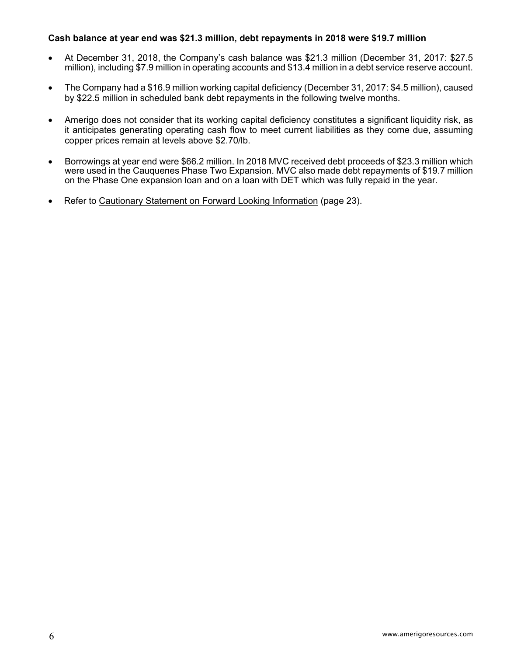#### **Cash balance at year end was \$21.3 million, debt repayments in 2018 were \$19.7 million**

- At December 31, 2018, the Company's cash balance was \$21.3 million (December 31, 2017: \$27.5 million), including \$7.9 million in operating accounts and \$13.4 million in a debt service reserve account.
- The Company had a \$16.9 million working capital deficiency (December 31, 2017: \$4.5 million), caused by \$22.5 million in scheduled bank debt repayments in the following twelve months.
- Amerigo does not consider that its working capital deficiency constitutes a significant liquidity risk, as it anticipates generating operating cash flow to meet current liabilities as they come due, assuming copper prices remain at levels above \$2.70/lb.
- Borrowings at year end were \$66.2 million. In 2018 MVC received debt proceeds of \$23.3 million which were used in the Cauquenes Phase Two Expansion. MVC also made debt repayments of \$19.7 million on the Phase One expansion loan and on a loan with DET which was fully repaid in the year.
- Refer to Cautionary Statement on Forward Looking Information (page 23).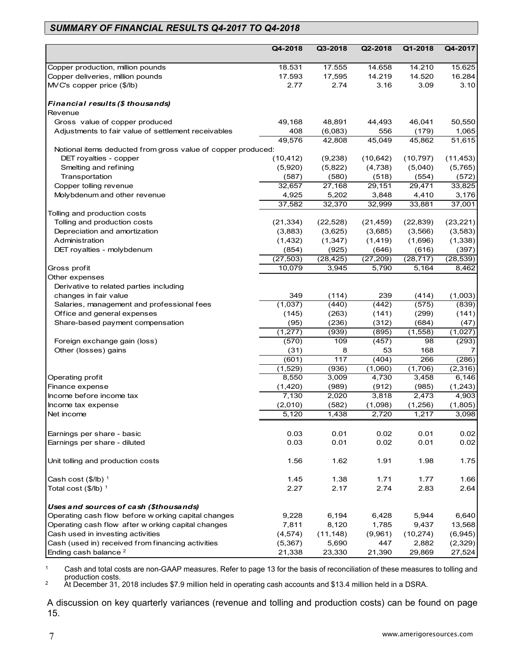# *SUMMARY OF FINANCIAL RESULTS Q4-2017 TO Q4-2018*

|                                                              | Q4-2018          | Q3-2018        | Q2-2018          | Q1-2018        | Q4-2017          |
|--------------------------------------------------------------|------------------|----------------|------------------|----------------|------------------|
| Copper production, million pounds                            | 18.531           | 17.555         | 14.658           | 14.210         | 15.625           |
| Copper deliveries, million pounds                            | 17.593           | 17,595         | 14.219           | 14.520         | 16.284           |
| MVC's copper price (\$/lb)                                   | 2.77             | 2.74           | 3.16             | 3.09           | 3.10             |
|                                                              |                  |                |                  |                |                  |
| Financial results (\$ thousands)                             |                  |                |                  |                |                  |
| Revenue                                                      |                  |                |                  |                |                  |
| Gross value of copper produced                               | 49,168           | 48,891         | 44,493           | 46,041         | 50,550           |
| Adjustments to fair value of settlement receivables          | 408              | (6,083)        | 556              | (179)          | 1,065            |
|                                                              | 49,576           | 42,808         | 45,049           | 45,862         | 51,615           |
| Notional items deducted from gross value of copper produced: |                  |                |                  |                |                  |
| DET royalties - copper                                       | (10, 412)        | (9,238)        | (10, 642)        | (10, 797)      | (11, 453)        |
| Smelting and refining                                        | (5,920)          | (5,822)        | (4,738)          | (5,040)        | (5,765)          |
| Transportation                                               | (587)            | (580)          | (518)            | (554)          | (572)            |
| Copper tolling revenue                                       | 32,657           | 27,168         | 29,151           | 29,471         | 33,825           |
| Molybdenum and other revenue                                 | 4,925            | 5,202          | 3,848            | 4,410          | 3,176            |
|                                                              | 37,582           | 32,370         | 32,999           | 33,881         | 37,001           |
| Tolling and production costs                                 |                  |                |                  |                |                  |
| Tolling and production costs                                 | (21, 334)        | (22, 528)      | (21, 459)        | (22, 839)      | (23, 221)        |
| Depreciation and amortization                                | (3,883)          | (3,625)        | (3,685)          | (3, 566)       | (3, 583)         |
| Administration                                               | (1, 432)         | (1, 347)       | (1, 419)         | (1,696)        | (1, 338)         |
| DET royalties - molybdenum                                   | (854)            | (925)          | (646)            | (616)          | (397)            |
|                                                              | (27, 503)        | (28, 425)      | (27, 209)        | (28, 717)      | (28, 539)        |
| Gross profit                                                 | 10,079           | 3,945          | 5,790            | 5,164          | 8,462            |
| Other expenses                                               |                  |                |                  |                |                  |
| Derivative to related parties including                      |                  |                |                  |                |                  |
| changes in fair value                                        | 349              | (114)          | 239              | (414)          | (1,003)          |
| Salaries, management and professional fees                   | (1,037)          | (440)          | (442)            | (575)          | (839)            |
| Office and general expenses                                  | (145)            | (263)          | (141)            | (299)          | (141)            |
| Share-based payment compensation                             | (95)             | (236)          | (312)            | (684)          | (47)             |
|                                                              | (1, 277)         | (939)          | (895)            | (1, 558)       | (1,027)          |
| Foreign exchange gain (loss)                                 | (570)            | 109<br>8       | (457)            | 98<br>168      | (293)            |
| Other (losses) gains                                         | (31)             | 117            | 53               | 266            | 7                |
|                                                              | (601)<br>(1,529) | (936)          | (404)            | (1,706)        | (286)            |
|                                                              |                  |                | (1,060)          |                | (2,316)          |
| Operating profit                                             | 8,550            | 3,009          | 4,730            | 3,458          | 6,146            |
| Finance expense<br>Income before income tax                  | (1,420)<br>7,130 | (989)<br>2,020 | (912)<br>3,818   | (985)<br>2,473 | (1,243)<br>4,903 |
| Income tax expense                                           | (2,010)          | (582)          |                  | (1,256)        | (1,805)          |
| Net income                                                   | 5,120            | 1,438          | (1,098)<br>2,720 | 1,217          | 3,098            |
|                                                              |                  |                |                  |                |                  |
| Earnings per share - basic                                   | 0.03             | 0.01           | 0.02             | 0.01           | 0.02             |
| Earnings per share - diluted                                 | 0.03             | 0.01           | 0.02             | 0.01           | 0.02             |
| Unit tolling and production costs                            | 1.56             | 1.62           | 1.91             | 1.98           | 1.75             |
| Cash cost $(\$/IB)^1$                                        | 1.45             | 1.38           | 1.71             | 1.77           | 1.66             |
| Total cost $(\$/IB)^1$                                       | 2.27             | 2.17           | 2.74             | 2.83           | 2.64             |
| Uses and sources of cash (\$thousands)                       |                  |                |                  |                |                  |
| Operating cash flow before w orking capital changes          | 9,228            | 6,194          | 6,428            | 5,944          | 6,640            |
| Operating cash flow after w orking capital changes           | 7,811            | 8,120          | 1,785            | 9,437          | 13,568           |
| Cash used in investing activities                            | (4, 574)         | (11, 148)      | (9,961)          | (10, 274)      | (6,945)          |
| Cash (used in) received from financing activities            | (5, 367)         | 5,690          | 447              | 2,882          | (2,329)          |
| Ending cash balance <sup>2</sup>                             | 21,338           | 23,330         | 21,390           | 29,869         | 27,524           |

<sup>1</sup> Cash and total costs are non-GAAP measures. Refer to page 13 for the basis of reconciliation of these measures to tolling and production costs.<br>
2 At December 31, 2018 includes \$7.9 million held in operating cash accounts and \$13.4 million held in a DSRA.

A discussion on key quarterly variances (revenue and tolling and production costs) can be found on page 15.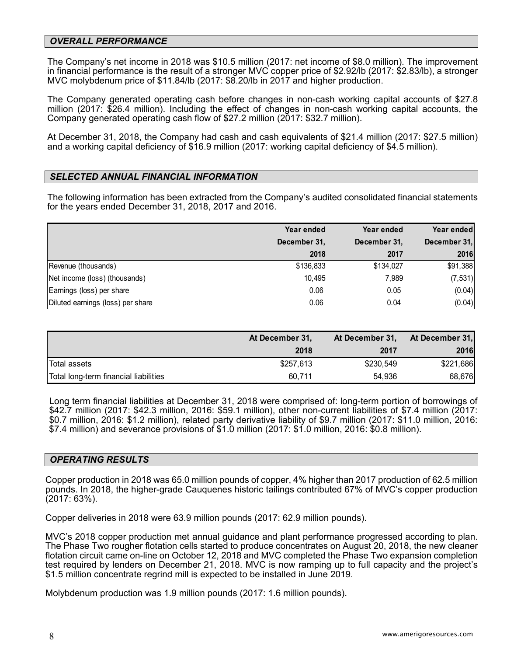#### *OVERALL PERFORMANCE*

The Company's net income in 2018 was \$10.5 million (2017: net income of \$8.0 million). The improvement in financial performance is the result of a stronger MVC copper price of \$2.92/lb (2017: \$2.83/lb), a stronger MVC molybdenum price of \$11.84/lb (2017: \$8.20/lb in 2017 and higher production.

The Company generated operating cash before changes in non-cash working capital accounts of \$27.8 million (2017: \$26.4 million). Including the effect of changes in non-cash working capital accounts, the Company generated operating cash flow of \$27.2 million (2017: \$32.7 million).

At December 31, 2018, the Company had cash and cash equivalents of \$21.4 million (2017: \$27.5 million) and a working capital deficiency of \$16.9 million (2017: working capital deficiency of \$4.5 million).

#### *SELECTED ANNUAL FINANCIAL INFORMATION*

The following information has been extracted from the Company's audited consolidated financial statements for the years ended December 31, 2018, 2017 and 2016.

|                                   | Year ended   | Year ended   | Year ended   |
|-----------------------------------|--------------|--------------|--------------|
|                                   | December 31, | December 31, | December 31, |
|                                   | 2018         | 2017         | 2016         |
| Revenue (thousands)               | \$136,833    | \$134,027    | \$91,388     |
| Net income (loss) (thousands)     | 10.495       | 7.989        | (7, 531)     |
| Earnings (loss) per share         | 0.06         | 0.05         | (0.04)       |
| Diluted earnings (loss) per share | 0.06         | 0.04         | (0.04)       |

|                                       | At December 31, | At December 31, | At December 31, |
|---------------------------------------|-----------------|-----------------|-----------------|
|                                       | 2018            | 2017            | 2016            |
| Total assets                          | \$257,613       | \$230,549       | \$221,686       |
| Total long-term financial liabilities | 60.711          | 54.936          | 68,676          |

Long term financial liabilities at December 31, 2018 were comprised of: long-term portion of borrowings of \$42.7 million (2017: \$42.3 million, 2016: \$59.1 million), other non-current liabilities of \$7.4 million (2017: \$0.7 million, 2016: \$1.2 million), related party derivative liability of \$9.7 million (2017: \$11.0 million, 2016: \$7.4 million) and severance provisions of \$1.0 million (2017: \$1.0 million, 2016: \$0.8 million).

#### *OPERATING RESULTS*

Copper production in 2018 was 65.0 million pounds of copper, 4% higher than 2017 production of 62.5 million pounds. In 2018, the higher-grade Cauquenes historic tailings contributed 67% of MVC's copper production (2017: 63%).

Copper deliveries in 2018 were 63.9 million pounds (2017: 62.9 million pounds).

MVC's 2018 copper production met annual guidance and plant performance progressed according to plan. The Phase Two rougher flotation cells started to produce concentrates on August 20, 2018, the new cleaner flotation circuit came on-line on October 12, 2018 and MVC completed the Phase Two expansion completion test required by lenders on December 21, 2018. MVC is now ramping up to full capacity and the project's \$1.5 million concentrate regrind mill is expected to be installed in June 2019.

Molybdenum production was 1.9 million pounds (2017: 1.6 million pounds).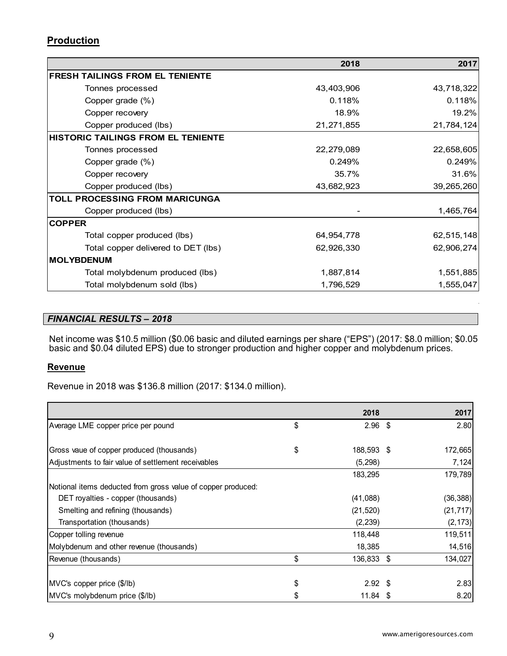# **Production**

|                                           | 2018       | 2017       |
|-------------------------------------------|------------|------------|
| <b>FRESH TAILINGS FROM EL TENIENTE</b>    |            |            |
| Tonnes processed                          | 43,403,906 | 43,718,322 |
| Copper grade (%)                          | 0.118%     | 0.118%     |
| Copper recovery                           | 18.9%      | 19.2%      |
| Copper produced (lbs)                     | 21,271,855 | 21,784,124 |
| <b>HISTORIC TAILINGS FROM EL TENIENTE</b> |            |            |
| Tonnes processed                          | 22,279,089 | 22,658,605 |
| Copper grade (%)                          | 0.249%     | 0.249%     |
| Copper recovery                           | 35.7%      | 31.6%      |
| Copper produced (lbs)                     | 43,682,923 | 39,265,260 |
| <b>TOLL PROCESSING FROM MARICUNGA</b>     |            |            |
| Copper produced (lbs)                     |            | 1,465,764  |
| <b>COPPER</b>                             |            |            |
| Total copper produced (lbs)               | 64,954,778 | 62,515,148 |
| Total copper delivered to DET (lbs)       | 62,926,330 | 62,906,274 |
| <b>MOLYBDENUM</b>                         |            |            |
| Total molybdenum produced (lbs)           | 1,887,814  | 1,551,885  |
| Total molybdenum sold (lbs)               | 1,796,529  | 1,555,047  |

# *FINANCIAL RESULTS – 2018*

Net income was \$10.5 million (\$0.06 basic and diluted earnings per share ("EPS") (2017: \$8.0 million; \$0.05 basic and \$0.04 diluted EPS) due to stronger production and higher copper and molybdenum prices.

## **Revenue**

Revenue in 2018 was \$136.8 million (2017: \$134.0 million).

|                                                              | 2018             | 2017      |
|--------------------------------------------------------------|------------------|-----------|
| Average LME copper price per pound                           | \$<br>$2.96$ \$  | 2.80      |
|                                                              |                  |           |
| Gross vaue of copper produced (thousands)                    | \$<br>188,593 \$ | 172,665   |
| Adjustments to fair value of settlement receivables          | (5, 298)         | 7,124     |
|                                                              | 183,295          | 179,789   |
| Notional items deducted from gross value of copper produced: |                  |           |
| DET royalties - copper (thousands)                           | (41,088)         | (36, 388) |
| Smelting and refining (thousands)                            | (21, 520)        | (21, 717) |
| Transportation (thousands)                                   | (2, 239)         | (2, 173)  |
| Copper tolling revenue                                       | 118,448          | 119,511   |
| Molybdenum and other revenue (thousands)                     | 18,385           | 14,516    |
| Revenue (thousands)                                          | \$<br>136,833 \$ | 134,027   |
|                                                              |                  |           |
| MVC's copper price (\$/lb)                                   | \$<br>$2.92$ \$  | 2.83      |
| MVC's molybdenum price (\$/lb)                               | 11.84            | 8.20      |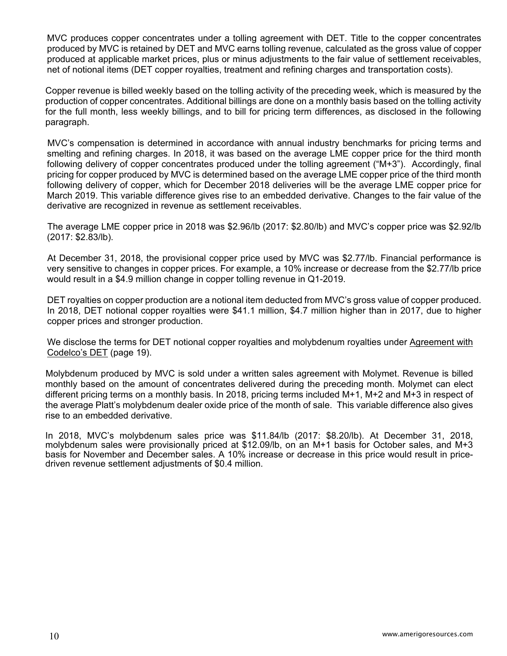MVC produces copper concentrates under a tolling agreement with DET. Title to the copper concentrates produced by MVC is retained by DET and MVC earns tolling revenue, calculated as the gross value of copper produced at applicable market prices, plus or minus adjustments to the fair value of settlement receivables, net of notional items (DET copper royalties, treatment and refining charges and transportation costs).

Copper revenue is billed weekly based on the tolling activity of the preceding week, which is measured by the production of copper concentrates. Additional billings are done on a monthly basis based on the tolling activity for the full month, less weekly billings, and to bill for pricing term differences, as disclosed in the following paragraph.

MVC's compensation is determined in accordance with annual industry benchmarks for pricing terms and smelting and refining charges. In 2018, it was based on the average LME copper price for the third month following delivery of copper concentrates produced under the tolling agreement ("M+3"). Accordingly, final pricing for copper produced by MVC is determined based on the average LME copper price of the third month following delivery of copper, which for December 2018 deliveries will be the average LME copper price for March 2019. This variable difference gives rise to an embedded derivative. Changes to the fair value of the derivative are recognized in revenue as settlement receivables.

The average LME copper price in 2018 was \$2.96/lb (2017: \$2.80/lb) and MVC's copper price was \$2.92/lb (2017: \$2.83/lb).

At December 31, 2018, the provisional copper price used by MVC was \$2.77/lb. Financial performance is very sensitive to changes in copper prices. For example, a 10% increase or decrease from the \$2.77/lb price would result in a \$4.9 million change in copper tolling revenue in Q1-2019.

DET royalties on copper production are a notional item deducted from MVC's gross value of copper produced. In 2018, DET notional copper royalties were \$41.1 million, \$4.7 million higher than in 2017, due to higher copper prices and stronger production.

We disclose the terms for DET notional copper royalties and molybdenum royalties under Agreement with Codelco's DET (page 19).

Molybdenum produced by MVC is sold under a written sales agreement with Molymet. Revenue is billed monthly based on the amount of concentrates delivered during the preceding month. Molymet can elect different pricing terms on a monthly basis. In 2018, pricing terms included M+1, M+2 and M+3 in respect of the average Platt's molybdenum dealer oxide price of the month of sale. This variable difference also gives rise to an embedded derivative.

In 2018, MVC's molybdenum sales price was \$11.84/lb (2017: \$8.20/lb). At December 31, 2018, molybdenum sales were provisionally priced at \$12.09/lb, on an M+1 basis for October sales, and M+3 basis for November and December sales. A 10% increase or decrease in this price would result in pricedriven revenue settlement adjustments of \$0.4 million.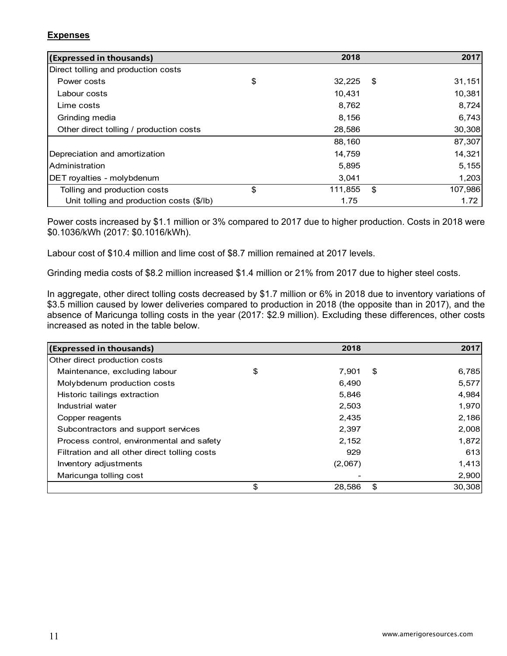## **Expenses**

| (Expressed in thousands)                  | 2018          |     | 2017    |
|-------------------------------------------|---------------|-----|---------|
| Direct tolling and production costs       |               |     |         |
| Power costs                               | \$<br>32,225  | -\$ | 31,151  |
| Labour costs                              | 10.431        |     | 10,381  |
| Lime costs                                | 8,762         |     | 8,724   |
| Grinding media                            | 8,156         |     | 6,743   |
| Other direct tolling / production costs   | 28,586        |     | 30,308  |
|                                           | 88,160        |     | 87,307  |
| Depreciation and amortization             | 14,759        |     | 14,321  |
| <b>Administration</b>                     | 5,895         |     | 5,155   |
| DET royalties - molybdenum                | 3,041         |     | 1,203   |
| Tolling and production costs              | \$<br>111,855 | \$  | 107,986 |
| Unit tolling and production costs (\$/lb) | 1.75          |     | 1.72    |

Power costs increased by \$1.1 million or 3% compared to 2017 due to higher production. Costs in 2018 were \$0.1036/kWh (2017: \$0.1016/kWh).

Labour cost of \$10.4 million and lime cost of \$8.7 million remained at 2017 levels.

Grinding media costs of \$8.2 million increased \$1.4 million or 21% from 2017 due to higher steel costs.

In aggregate, other direct tolling costs decreased by \$1.7 million or 6% in 2018 due to inventory variations of \$3.5 million caused by lower deliveries compared to production in 2018 (the opposite than in 2017), and the absence of Maricunga tolling costs in the year (2017: \$2.9 million). Excluding these differences, other costs increased as noted in the table below.

| (Expressed in thousands)                      | 2018         | 2017         |
|-----------------------------------------------|--------------|--------------|
| Other direct production costs                 |              |              |
| Maintenance, excluding labour                 | \$<br>7.901  | \$<br>6,785  |
| Molybdenum production costs                   | 6,490        | 5,577        |
| Historic tailings extraction                  | 5,846        | 4,984        |
| Industrial water                              | 2,503        | 1,970        |
| Copper reagents                               | 2,435        | 2,186        |
| Subcontractors and support services           | 2,397        | 2,008        |
| Process control, environmental and safety     | 2,152        | 1,872        |
| Filtration and all other direct tolling costs | 929          | 613          |
| Inventory adjustments                         | (2,067)      | 1,413        |
| Maricunga tolling cost                        |              | 2,900        |
|                                               | \$<br>28,586 | \$<br>30,308 |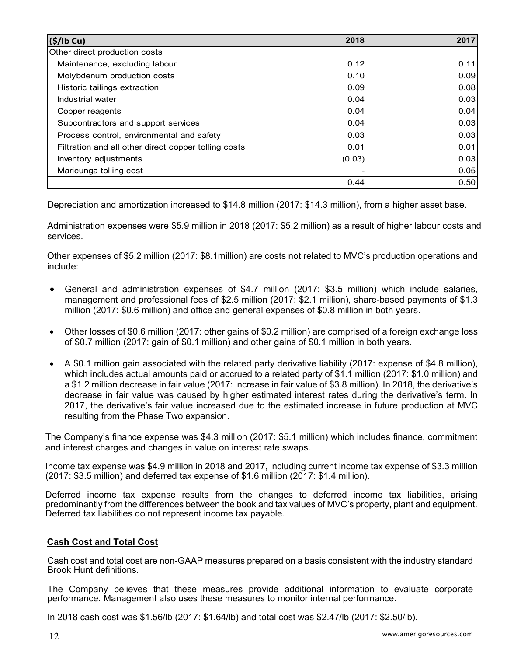| (S/lb Cu)                                            | 2018   | 2017 |
|------------------------------------------------------|--------|------|
| Other direct production costs                        |        |      |
| Maintenance, excluding labour                        | 0.12   | 0.11 |
| Molybdenum production costs                          | 0.10   | 0.09 |
| Historic tailings extraction                         | 0.09   | 0.08 |
| Industrial water                                     | 0.04   | 0.03 |
| Copper reagents                                      | 0.04   | 0.04 |
| Subcontractors and support services                  | 0.04   | 0.03 |
| Process control, environmental and safety            | 0.03   | 0.03 |
| Filtration and all other direct copper tolling costs | 0.01   | 0.01 |
| Inventory adjustments                                | (0.03) | 0.03 |
| Maricunga tolling cost                               |        | 0.05 |
|                                                      | 0.44   | 0.50 |

Depreciation and amortization increased to \$14.8 million (2017: \$14.3 million), from a higher asset base.

Administration expenses were \$5.9 million in 2018 (2017: \$5.2 million) as a result of higher labour costs and services.

Other expenses of \$5.2 million (2017: \$8.1million) are costs not related to MVC's production operations and include:

- General and administration expenses of \$4.7 million (2017: \$3.5 million) which include salaries, management and professional fees of \$2.5 million (2017: \$2.1 million), share-based payments of \$1.3 million (2017: \$0.6 million) and office and general expenses of \$0.8 million in both years.
- Other losses of \$0.6 million (2017: other gains of \$0.2 million) are comprised of a foreign exchange loss of \$0.7 million (2017: gain of \$0.1 million) and other gains of \$0.1 million in both years.
- A \$0.1 million gain associated with the related party derivative liability (2017: expense of \$4.8 million), which includes actual amounts paid or accrued to a related party of \$1.1 million (2017: \$1.0 million) and a \$1.2 million decrease in fair value (2017: increase in fair value of \$3.8 million). In 2018, the derivative's decrease in fair value was caused by higher estimated interest rates during the derivative's term. In 2017, the derivative's fair value increased due to the estimated increase in future production at MVC resulting from the Phase Two expansion.

The Company's finance expense was \$4.3 million (2017: \$5.1 million) which includes finance, commitment and interest charges and changes in value on interest rate swaps.

Income tax expense was \$4.9 million in 2018 and 2017, including current income tax expense of \$3.3 million (2017: \$3.5 million) and deferred tax expense of \$1.6 million (2017: \$1.4 million).

Deferred income tax expense results from the changes to deferred income tax liabilities, arising predominantly from the differences between the book and tax values of MVC's property, plant and equipment. Deferred tax liabilities do not represent income tax payable.

## **Cash Cost and Total Cost**

Cash cost and total cost are non-GAAP measures prepared on a basis consistent with the industry standard Brook Hunt definitions.

The Company believes that these measures provide additional information to evaluate corporate performance. Management also uses these measures to monitor internal performance.

In 2018 cash cost was \$1.56/lb (2017: \$1.64/lb) and total cost was \$2.47/lb (2017: \$2.50/lb).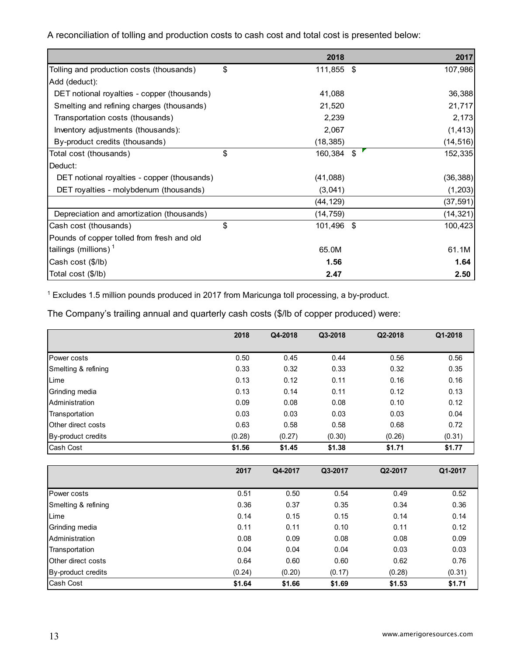A reconciliation of tolling and production costs to cash cost and total cost is presented below:

|                                             | 2018             | 2017          |
|---------------------------------------------|------------------|---------------|
| Tolling and production costs (thousands)    | \$<br>111,855 \$ | 107,986       |
| Add (deduct):                               |                  |               |
| DET notional royalties - copper (thousands) | 41,088           | 36,388        |
| Smelting and refining charges (thousands)   | 21,520           | 21,717        |
| Transportation costs (thousands)            | 2,239            | 2,173         |
| Inventory adjustments (thousands):          | 2,067            | (1, 413)      |
| By-product credits (thousands)              | (18, 385)        | (14, 516)     |
| Total cost (thousands)                      | \$<br>160,384    | \$<br>152,335 |
| Deduct:                                     |                  |               |
| DET notional royalties - copper (thousands) | (41,088)         | (36, 388)     |
| DET royalties - molybdenum (thousands)      | (3,041)          | (1, 203)      |
|                                             | (44, 129)        | (37, 591)     |
| Depreciation and amortization (thousands)   | (14, 759)        | (14, 321)     |
| Cash cost (thousands)                       | \$<br>101,496 \$ | 100,423       |
| Pounds of copper tolled from fresh and old  |                  |               |
| tailings (millions) $1$                     | 65.0M            | 61.1M         |
| Cash cost (\$/lb)                           | 1.56             | 1.64          |
| Total cost (\$/lb)                          | 2.47             | 2.50          |

1 Excludes 1.5 million pounds produced in 2017 from Maricunga toll processing, a by-product.

The Company's trailing annual and quarterly cash costs (\$/lb of copper produced) were:

|                           | 2018   | Q4-2018 | Q3-2018 | Q2-2018 | Q1-2018 |
|---------------------------|--------|---------|---------|---------|---------|
|                           |        |         |         |         |         |
| <b>Power costs</b>        | 0.50   | 0.45    | 0.44    | 0.56    | 0.56    |
| Smelting & refining       | 0.33   | 0.32    | 0.33    | 0.32    | 0.35    |
| Lime                      | 0.13   | 0.12    | 0.11    | 0.16    | 0.16    |
| Grinding media            | 0.13   | 0.14    | 0.11    | 0.12    | 0.13    |
| Administration            | 0.09   | 0.08    | 0.08    | 0.10    | 0.12    |
| Transportation            | 0.03   | 0.03    | 0.03    | 0.03    | 0.04    |
| <b>Other direct costs</b> | 0.63   | 0.58    | 0.58    | 0.68    | 0.72    |
| By-product credits        | (0.28) | (0.27)  | (0.30)  | (0.26)  | (0.31)  |
| Cash Cost                 | \$1.56 | \$1.45  | \$1.38  | \$1.71  | \$1.77  |

|                     | 2017   | Q4-2017 | Q3-2017 | Q2-2017 | Q1-2017 |
|---------------------|--------|---------|---------|---------|---------|
|                     |        |         |         |         |         |
| Power costs         | 0.51   | 0.50    | 0.54    | 0.49    | 0.52    |
| Smelting & refining | 0.36   | 0.37    | 0.35    | 0.34    | 0.36    |
| Lime                | 0.14   | 0.15    | 0.15    | 0.14    | 0.14    |
| Grinding media      | 0.11   | 0.11    | 0.10    | 0.11    | 0.12    |
| Administration      | 0.08   | 0.09    | 0.08    | 0.08    | 0.09    |
| Transportation      | 0.04   | 0.04    | 0.04    | 0.03    | 0.03    |
| Other direct costs  | 0.64   | 0.60    | 0.60    | 0.62    | 0.76    |
| By-product credits  | (0.24) | (0.20)  | (0.17)  | (0.28)  | (0.31)  |
| Cash Cost           | \$1.64 | \$1.66  | \$1.69  | \$1.53  | \$1.71  |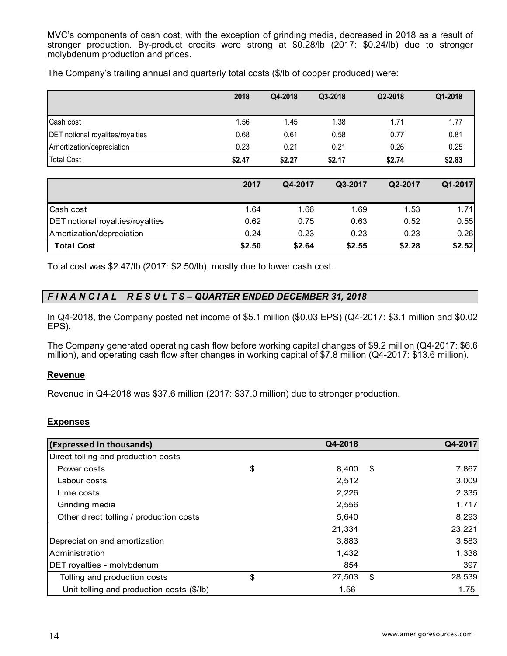MVC's components of cash cost, with the exception of grinding media, decreased in 2018 as a result of stronger production. By-product credits were strong at \$0.28/lb (2017: \$0.24/lb) due to stronger molybdenum production and prices.

|                                  | 2018   | Q4-2018 | Q3-2018 | Q2-2018 | Q1-2018 |
|----------------------------------|--------|---------|---------|---------|---------|
|                                  |        |         |         |         |         |
| Cash cost                        | 1.56   | 1.45    | 1.38    | 1.71    | 1.77    |
| DET notional royalites/royalties | 0.68   | 0.61    | 0.58    | 0.77    | 0.81    |
| Amortization/depreciation        | 0.23   | 0.21    | 0.21    | 0.26    | 0.25    |
| Total Cost                       | \$2.47 | \$2.27  | \$2.17  | \$2.74  | \$2.83  |

The Company's trailing annual and quarterly total costs (\$/lb of copper produced) were:

|                                         | 2017   | Q4-2017 | Q3-2017 | Q2-2017 | Q1-2017 |
|-----------------------------------------|--------|---------|---------|---------|---------|
| <b>Cash cost</b>                        | 1.64   | 1.66    | 1.69    | 1.53    | 1.71    |
| <b>DET</b> notional royalties/royalties | 0.62   | 0.75    | 0.63    | 0.52    | 0.55    |
| Amortization/depreciation               | 0.24   | 0.23    | 0.23    | 0.23    | 0.26    |
| <b>Total Cost</b>                       | \$2.50 | \$2.64  | \$2.55  | \$2.28  | \$2.52  |

Total cost was \$2.47/lb (2017: \$2.50/lb), mostly due to lower cash cost.

# *F I N A N C I A L R E S U L T S – QUARTER ENDED DECEMBER 31, 2018*

In Q4-2018, the Company posted net income of \$5.1 million (\$0.03 EPS) (Q4-2017: \$3.1 million and \$0.02 EPS).

The Company generated operating cash flow before working capital changes of \$9.2 million (Q4-2017: \$6.6 million), and operating cash flow after changes in working capital of \$7.8 million (Q4-2017: \$13.6 million).

## **Revenue**

Revenue in Q4-2018 was \$37.6 million (2017: \$37.0 million) due to stronger production.

## **Expenses**

| (Expressed in thousands)                  | Q4-2018      | Q4-2017      |
|-------------------------------------------|--------------|--------------|
| Direct tolling and production costs       |              |              |
| Power costs                               | \$<br>8,400  | \$<br>7,867  |
| Labour costs                              | 2,512        | 3,009        |
| Lime costs                                | 2,226        | 2,335        |
| Grinding media                            | 2,556        | 1,717        |
| Other direct tolling / production costs   | 5,640        | 8,293        |
|                                           | 21,334       | 23,221       |
| Depreciation and amortization             | 3,883        | 3,583        |
| Administration                            | 1,432        | 1,338        |
| DET royalties - molybdenum                | 854          | 397          |
| Tolling and production costs              | \$<br>27,503 | \$<br>28,539 |
| Unit tolling and production costs (\$/lb) | 1.56         | 1.75         |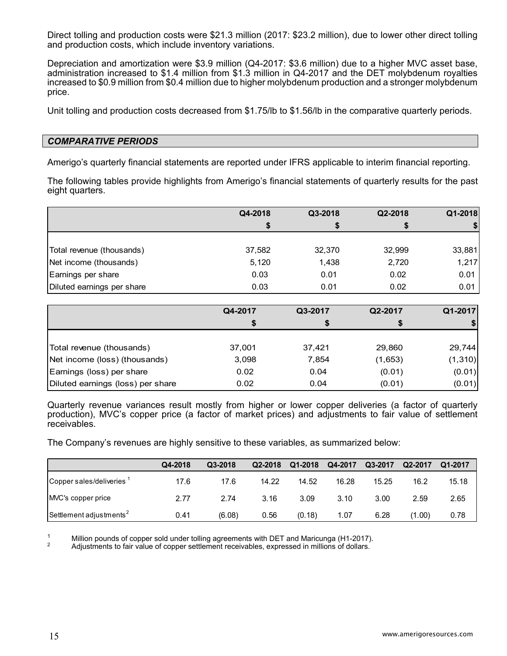Direct tolling and production costs were \$21.3 million (2017: \$23.2 million), due to lower other direct tolling and production costs, which include inventory variations.

Depreciation and amortization were \$3.9 million (Q4-2017: \$3.6 million) due to a higher MVC asset base, administration increased to \$1.4 million from \$1.3 million in Q4-2017 and the DET molybdenum royalties increased to \$0.9 million from \$0.4 million due to higher molybdenum production and a stronger molybdenum price.

Unit tolling and production costs decreased from \$1.75/lb to \$1.56/lb in the comparative quarterly periods.

#### *COMPARATIVE PERIODS*

Amerigo's quarterly financial statements are reported under IFRS applicable to interim financial reporting.

The following tables provide highlights from Amerigo's financial statements of quarterly results for the past eight quarters.

|                            | Q4-2018 | Q3-2018 | Q2-2018 | Q1-2018 |
|----------------------------|---------|---------|---------|---------|
|                            |         |         | S       | -SI     |
|                            |         |         |         |         |
| Total revenue (thousands)  | 37,582  | 32,370  | 32,999  | 33,881  |
| Net income (thousands)     | 5,120   | 1,438   | 2,720   | 1,217   |
| Earnings per share         | 0.03    | 0.01    | 0.02    | 0.01    |
| Diluted earnings per share | 0.03    | 0.01    | 0.02    | 0.01    |

|                                   | Q4-2017 | Q3-2017 | Q2-2017 | Q1-2017  |
|-----------------------------------|---------|---------|---------|----------|
|                                   | S       | S       |         |          |
|                                   |         |         |         |          |
| Total revenue (thousands)         | 37,001  | 37,421  | 29,860  | 29,744   |
| Net income (loss) (thousands)     | 3,098   | 7,854   | (1,653) | (1, 310) |
| Earnings (loss) per share         | 0.02    | 0.04    | (0.01)  | (0.01)   |
| Diluted earnings (loss) per share | 0.02    | 0.04    | (0.01)  | (0.01)   |

Quarterly revenue variances result mostly from higher or lower copper deliveries (a factor of quarterly production), MVC's copper price (a factor of market prices) and adjustments to fair value of settlement receivables.

The Company's revenues are highly sensitive to these variables, as summarized below:

|                                      | Q4-2018 | Q3-2018 | Q2-2018 | Q1-2018 | Q4-2017 | Q3-2017 | Q2-2017 | Q1-2017 |
|--------------------------------------|---------|---------|---------|---------|---------|---------|---------|---------|
| Copper sales/deliveries <sup>1</sup> | 17.6    | 17.6    | 14.22   | 14.52   | 16.28   | 15.25   | 16.2    | 15.18   |
| MVC's copper price                   | 2.77    | 2.74    | 3.16    | 3.09    | 3.10    | 3.00    | 2.59    | 2.65    |
| Settlement adjustments <sup>2</sup>  | 0.41    | (6.08)  | 0.56    | (0.18)  | 1.07    | 6.28    | (00, 0) | 0.78    |

<sup>1</sup> Million pounds of copper sold under tolling agreements with DET and Maricunga (H1-2017).<br><sup>2</sup> Adjustments to fair value of copper settlement receivables, expressed in millions of dollars.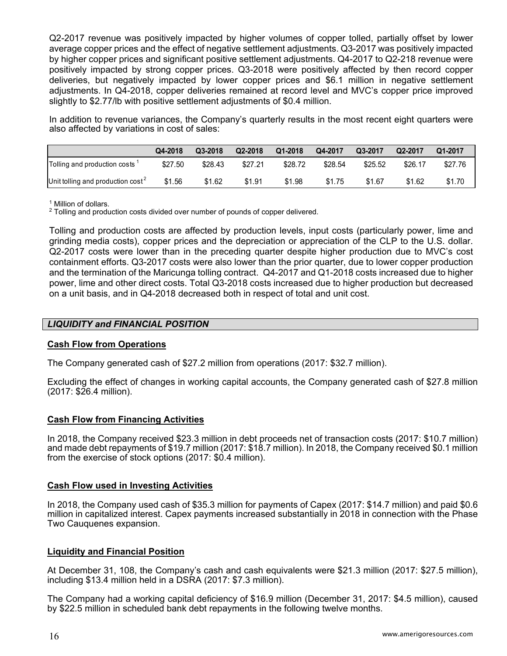Q2-2017 revenue was positively impacted by higher volumes of copper tolled, partially offset by lower average copper prices and the effect of negative settlement adjustments. Q3-2017 was positively impacted by higher copper prices and significant positive settlement adjustments. Q4-2017 to Q2-218 revenue were positively impacted by strong copper prices. Q3-2018 were positively affected by then record copper deliveries, but negatively impacted by lower copper prices and \$6.1 million in negative settlement adjustments. In Q4-2018, copper deliveries remained at record level and MVC's copper price improved slightly to \$2.77/lb with positive settlement adjustments of \$0.4 million.

In addition to revenue variances, the Company's quarterly results in the most recent eight quarters were also affected by variations in cost of sales:

|                                           | Q4-2018 | Q3-2018 | Q2-2018 | Q1-2018 | Q4-2017 | Q3-2017 | Q2-2017 | Q1-2017 |
|-------------------------------------------|---------|---------|---------|---------|---------|---------|---------|---------|
| Tolling and production costs <sup>1</sup> | \$27.50 | \$28.43 | \$27.21 | \$28.72 | \$28.54 | \$25.52 | \$26.17 | \$27.76 |
| Unit tolling and production $cost^2$      | \$1.56  | \$1.62  | \$1.91  | \$1.98  | \$1.75  | \$1.67  | \$1.62  | \$1.70  |

<sup>1</sup> Million of dollars.

<sup>2</sup> Tolling and production costs divided over number of pounds of copper delivered.

Tolling and production costs are affected by production levels, input costs (particularly power, lime and grinding media costs), copper prices and the depreciation or appreciation of the CLP to the U.S. dollar. Q2-2017 costs were lower than in the preceding quarter despite higher production due to MVC's cost containment efforts. Q3-2017 costs were also lower than the prior quarter, due to lower copper production and the termination of the Maricunga tolling contract. Q4-2017 and Q1-2018 costs increased due to higher power, lime and other direct costs. Total Q3-2018 costs increased due to higher production but decreased on a unit basis, and in Q4-2018 decreased both in respect of total and unit cost.

## *LIQUIDITY and FINANCIAL POSITION*

## **Cash Flow from Operations**

The Company generated cash of \$27.2 million from operations (2017: \$32.7 million).

Excluding the effect of changes in working capital accounts, the Company generated cash of \$27.8 million (2017: \$26.4 million).

#### **Cash Flow from Financing Activities**

In 2018, the Company received \$23.3 million in debt proceeds net of transaction costs (2017: \$10.7 million) and made debt repayments of \$19.7 million (2017: \$18.7 million). In 2018, the Company received \$0.1 million from the exercise of stock options (2017: \$0.4 million).

#### **Cash Flow used in Investing Activities**

In 2018, the Company used cash of \$35.3 million for payments of Capex (2017: \$14.7 million) and paid \$0.6 million in capitalized interest. Capex payments increased substantially in 2018 in connection with the Phase Two Cauquenes expansion.

#### **Liquidity and Financial Position**

At December 31, 108, the Company's cash and cash equivalents were \$21.3 million (2017: \$27.5 million), including \$13.4 million held in a DSRA (2017: \$7.3 million).

The Company had a working capital deficiency of \$16.9 million (December 31, 2017: \$4.5 million), caused by \$22.5 million in scheduled bank debt repayments in the following twelve months.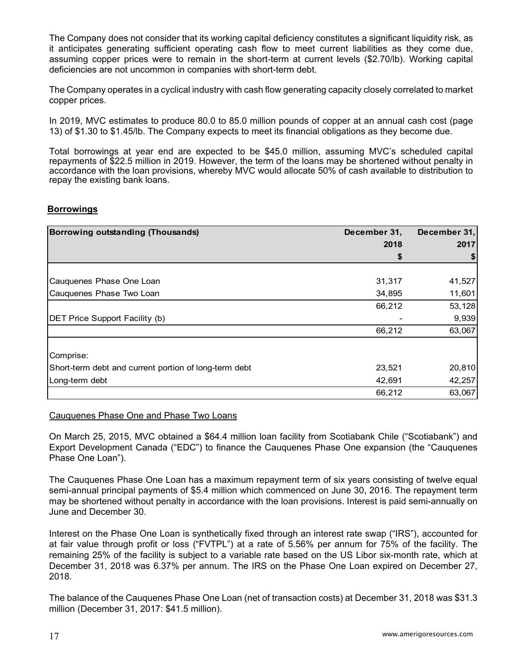The Company does not consider that its working capital deficiency constitutes a significant liquidity risk, as it anticipates generating sufficient operating cash flow to meet current liabilities as they come due, assuming copper prices were to remain in the short-term at current levels (\$2.70/lb). Working capital deficiencies are not uncommon in companies with short-term debt.

The Company operates in a cyclical industry with cash flow generating capacity closely correlated to market copper prices.

In 2019, MVC estimates to produce 80.0 to 85.0 million pounds of copper at an annual cash cost (page 13) of \$1.30 to \$1.45/lb. The Company expects to meet its financial obligations as they become due.

Total borrowings at year end are expected to be \$45.0 million, assuming MVC's scheduled capital repayments of \$22.5 million in 2019. However, the term of the loans may be shortened without penalty in accordance with the loan provisions, whereby MVC would allocate 50% of cash available to distribution to repay the existing bank loans.

#### **Borrowings**

| Borrowing outstanding (Thousands)                     | December 31, | December 31, |
|-------------------------------------------------------|--------------|--------------|
|                                                       | 2018         | 2017         |
|                                                       | \$           |              |
|                                                       |              |              |
| Cauquenes Phase One Loan                              | 31,317       | 41,527       |
| Cauquenes Phase Two Loan                              | 34,895       | 11,601       |
|                                                       | 66,212       | 53,128       |
| <b>DET Price Support Facility (b)</b>                 |              | 9,939        |
|                                                       | 66,212       | 63,067       |
| Comprise:                                             |              |              |
| Short-term debt and current portion of long-term debt | 23,521       | 20,810       |
| Long-term debt                                        | 42,691       | 42,257       |
|                                                       | 66,212       | 63,067       |

#### Cauquenes Phase One and Phase Two Loans

On March 25, 2015, MVC obtained a \$64.4 million loan facility from Scotiabank Chile ("Scotiabank") and Export Development Canada ("EDC") to finance the Cauquenes Phase One expansion (the "Cauquenes Phase One Loan").

The Cauquenes Phase One Loan has a maximum repayment term of six years consisting of twelve equal semi-annual principal payments of \$5.4 million which commenced on June 30, 2016. The repayment term may be shortened without penalty in accordance with the loan provisions. Interest is paid semi-annually on June and December 30.

Interest on the Phase One Loan is synthetically fixed through an interest rate swap ("IRS"), accounted for at fair value through profit or loss ("FVTPL") at a rate of 5.56% per annum for 75% of the facility. The remaining 25% of the facility is subject to a variable rate based on the US Libor six-month rate, which at December 31, 2018 was 6.37% per annum. The IRS on the Phase One Loan expired on December 27, 2018.

The balance of the Cauquenes Phase One Loan (net of transaction costs) at December 31, 2018 was \$31.3 million (December 31, 2017: \$41.5 million).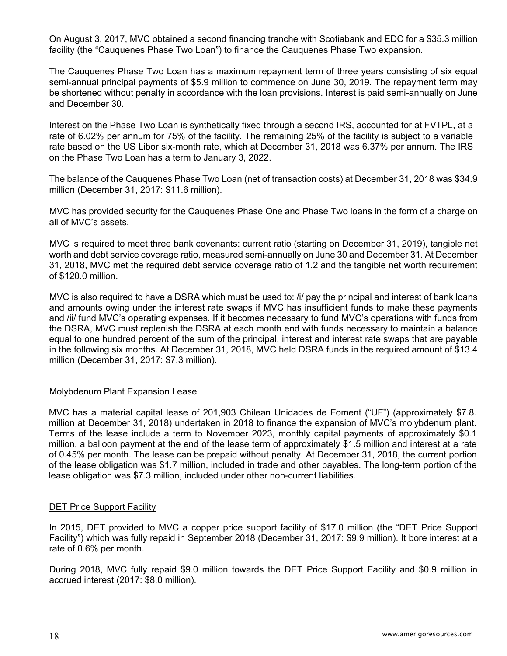On August 3, 2017, MVC obtained a second financing tranche with Scotiabank and EDC for a \$35.3 million facility (the "Cauquenes Phase Two Loan") to finance the Cauquenes Phase Two expansion.

 The Cauquenes Phase Two Loan has a maximum repayment term of three years consisting of six equal semi-annual principal payments of \$5.9 million to commence on June 30, 2019. The repayment term may be shortened without penalty in accordance with the loan provisions. Interest is paid semi-annually on June and December 30.

 Interest on the Phase Two Loan is synthetically fixed through a second IRS, accounted for at FVTPL, at a rate of 6.02% per annum for 75% of the facility. The remaining 25% of the facility is subject to a variable rate based on the US Libor six-month rate, which at December 31, 2018 was 6.37% per annum. The IRS on the Phase Two Loan has a term to January 3, 2022.

 The balance of the Cauquenes Phase Two Loan (net of transaction costs) at December 31, 2018 was \$34.9 million (December 31, 2017: \$11.6 million).

 MVC has provided security for the Cauquenes Phase One and Phase Two loans in the form of a charge on all of MVC's assets.

MVC is required to meet three bank covenants: current ratio (starting on December 31, 2019), tangible net worth and debt service coverage ratio, measured semi-annually on June 30 and December 31. At December 31, 2018, MVC met the required debt service coverage ratio of 1.2 and the tangible net worth requirement of \$120.0 million.

MVC is also required to have a DSRA which must be used to: /i/ pay the principal and interest of bank loans and amounts owing under the interest rate swaps if MVC has insufficient funds to make these payments and /ii/ fund MVC's operating expenses. If it becomes necessary to fund MVC's operations with funds from the DSRA, MVC must replenish the DSRA at each month end with funds necessary to maintain a balance equal to one hundred percent of the sum of the principal, interest and interest rate swaps that are payable in the following six months. At December 31, 2018, MVC held DSRA funds in the required amount of \$13.4 million (December 31, 2017: \$7.3 million).

## Molybdenum Plant Expansion Lease

MVC has a material capital lease of 201,903 Chilean Unidades de Foment ("UF") (approximately \$7.8. million at December 31, 2018) undertaken in 2018 to finance the expansion of MVC's molybdenum plant. Terms of the lease include a term to November 2023, monthly capital payments of approximately \$0.1 million, a balloon payment at the end of the lease term of approximately \$1.5 million and interest at a rate of 0.45% per month. The lease can be prepaid without penalty. At December 31, 2018, the current portion of the lease obligation was \$1.7 million, included in trade and other payables. The long-term portion of the lease obligation was \$7.3 million, included under other non-current liabilities.

#### DET Price Support Facility

In 2015, DET provided to MVC a copper price support facility of \$17.0 million (the "DET Price Support Facility") which was fully repaid in September 2018 (December 31, 2017: \$9.9 million). It bore interest at a rate of 0.6% per month.

During 2018, MVC fully repaid \$9.0 million towards the DET Price Support Facility and \$0.9 million in accrued interest (2017: \$8.0 million).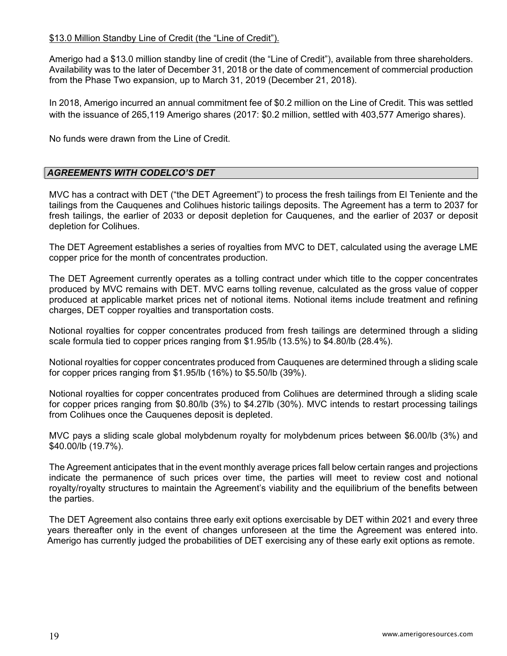## \$13.0 Million Standby Line of Credit (the "Line of Credit").

Amerigo had a \$13.0 million standby line of credit (the "Line of Credit"), available from three shareholders. Availability was to the later of December 31, 2018 or the date of commencement of commercial production from the Phase Two expansion, up to March 31, 2019 (December 21, 2018).

In 2018, Amerigo incurred an annual commitment fee of \$0.2 million on the Line of Credit. This was settled with the issuance of 265,119 Amerigo shares (2017: \$0.2 million, settled with 403,577 Amerigo shares).

No funds were drawn from the Line of Credit.

## *AGREEMENTS WITH CODELCO'S DET*

MVC has a contract with DET ("the DET Agreement") to process the fresh tailings from El Teniente and the tailings from the Cauquenes and Colihues historic tailings deposits. The Agreement has a term to 2037 for fresh tailings, the earlier of 2033 or deposit depletion for Cauquenes, and the earlier of 2037 or deposit depletion for Colihues.

The DET Agreement establishes a series of royalties from MVC to DET, calculated using the average LME copper price for the month of concentrates production.

The DET Agreement currently operates as a tolling contract under which title to the copper concentrates produced by MVC remains with DET. MVC earns tolling revenue, calculated as the gross value of copper produced at applicable market prices net of notional items. Notional items include treatment and refining charges, DET copper royalties and transportation costs.

Notional royalties for copper concentrates produced from fresh tailings are determined through a sliding scale formula tied to copper prices ranging from \$1.95/lb (13.5%) to \$4.80/lb (28.4%).

Notional royalties for copper concentrates produced from Cauquenes are determined through a sliding scale for copper prices ranging from \$1.95/lb (16%) to \$5.50/lb (39%).

Notional royalties for copper concentrates produced from Colihues are determined through a sliding scale for copper prices ranging from \$0.80/lb (3%) to \$4.27lb (30%). MVC intends to restart processing tailings from Colihues once the Cauquenes deposit is depleted.

MVC pays a sliding scale global molybdenum royalty for molybdenum prices between \$6.00/lb (3%) and \$40.00/lb (19.7%).

The Agreement anticipates that in the event monthly average prices fall below certain ranges and projections indicate the permanence of such prices over time, the parties will meet to review cost and notional royalty/royalty structures to maintain the Agreement's viability and the equilibrium of the benefits between the parties.

The DET Agreement also contains three early exit options exercisable by DET within 2021 and every three years thereafter only in the event of changes unforeseen at the time the Agreement was entered into. Amerigo has currently judged the probabilities of DET exercising any of these early exit options as remote.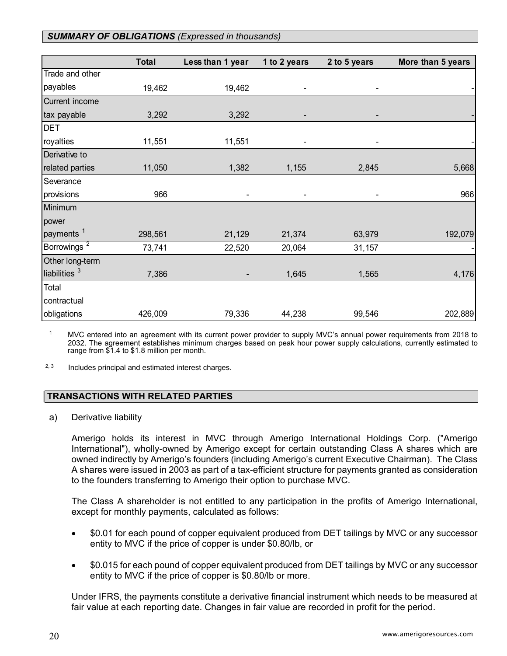# *SUMMARY OF OBLIGATIONS (Expressed in thousands)*

|                         | <b>Total</b> | Less than 1 year | 1 to 2 years | 2 to 5 years | More than 5 years |
|-------------------------|--------------|------------------|--------------|--------------|-------------------|
| Trade and other         |              |                  |              |              |                   |
| payables                | 19,462       | 19,462           |              |              |                   |
| Current income          |              |                  |              |              |                   |
| tax payable             | 3,292        | 3,292            |              |              |                   |
| <b>DET</b>              |              |                  |              |              |                   |
| royalties               | 11,551       | 11,551           |              |              |                   |
| Derivative to           |              |                  |              |              |                   |
| related parties         | 11,050       | 1,382            | 1,155        | 2,845        | 5,668             |
| Severance               |              |                  |              |              |                   |
| provisions              | 966          | -                |              |              | 966               |
| Minimum                 |              |                  |              |              |                   |
| power                   |              |                  |              |              |                   |
| payments <sup>1</sup>   | 298,561      | 21,129           | 21,374       | 63,979       | 192,079           |
| Borrowings <sup>2</sup> | 73,741       | 22,520           | 20,064       | 31,157       |                   |
| Other long-term         |              |                  |              |              |                   |
| liabilities $3$         | 7,386        | -                | 1,645        | 1,565        | 4,176             |
| Total                   |              |                  |              |              |                   |
| contractual             |              |                  |              |              |                   |
| obligations             | 426,009      | 79,336           | 44,238       | 99,546       | 202,889           |

 $1$  MVC entered into an agreement with its current power provider to supply MVC's annual power requirements from 2018 to 2032. The agreement establishes minimum charges based on peak hour power supply calculations, currently estimated to range from \$1.4 to \$1.8 million per month.

 $2, 3$  Includes principal and estimated interest charges.

## **TRANSACTIONS WITH RELATED PARTIES**

a) Derivative liability

Amerigo holds its interest in MVC through Amerigo International Holdings Corp. ("Amerigo International"), wholly-owned by Amerigo except for certain outstanding Class A shares which are owned indirectly by Amerigo's founders (including Amerigo's current Executive Chairman). The Class A shares were issued in 2003 as part of a tax-efficient structure for payments granted as consideration to the founders transferring to Amerigo their option to purchase MVC.

The Class A shareholder is not entitled to any participation in the profits of Amerigo International, except for monthly payments, calculated as follows:

- \$0.01 for each pound of copper equivalent produced from DET tailings by MVC or any successor entity to MVC if the price of copper is under \$0.80/lb, or
- \$0.015 for each pound of copper equivalent produced from DET tailings by MVC or any successor entity to MVC if the price of copper is \$0.80/lb or more.

Under IFRS, the payments constitute a derivative financial instrument which needs to be measured at fair value at each reporting date. Changes in fair value are recorded in profit for the period.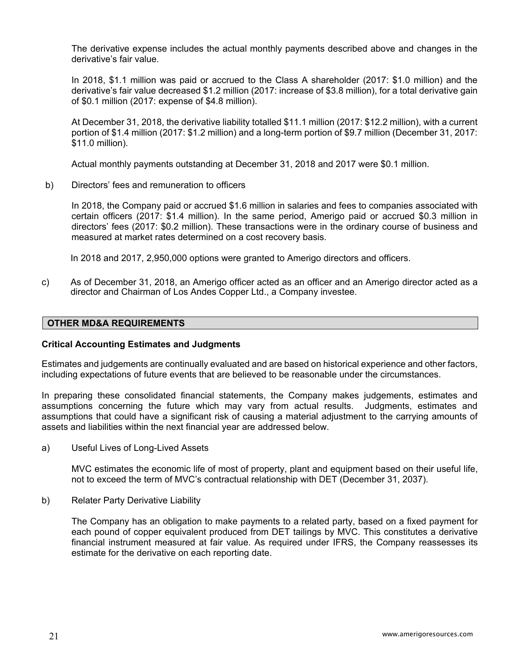The derivative expense includes the actual monthly payments described above and changes in the derivative's fair value.

In 2018, \$1.1 million was paid or accrued to the Class A shareholder (2017: \$1.0 million) and the derivative's fair value decreased \$1.2 million (2017: increase of \$3.8 million), for a total derivative gain of \$0.1 million (2017: expense of \$4.8 million).

At December 31, 2018, the derivative liability totalled \$11.1 million (2017: \$12.2 million), with a current portion of \$1.4 million (2017: \$1.2 million) and a long-term portion of \$9.7 million (December 31, 2017: \$11.0 million).

Actual monthly payments outstanding at December 31, 2018 and 2017 were \$0.1 million.

b) Directors' fees and remuneration to officers

 In 2018, the Company paid or accrued \$1.6 million in salaries and fees to companies associated with certain officers (2017: \$1.4 million). In the same period, Amerigo paid or accrued \$0.3 million in directors' fees (2017: \$0.2 million). These transactions were in the ordinary course of business and measured at market rates determined on a cost recovery basis.

In 2018 and 2017, 2,950,000 options were granted to Amerigo directors and officers.

c) As of December 31, 2018, an Amerigo officer acted as an officer and an Amerigo director acted as a director and Chairman of Los Andes Copper Ltd., a Company investee.

#### **OTHER MD&A REQUIREMENTS**

#### **Critical Accounting Estimates and Judgments**

Estimates and judgements are continually evaluated and are based on historical experience and other factors, including expectations of future events that are believed to be reasonable under the circumstances.

In preparing these consolidated financial statements, the Company makes judgements, estimates and assumptions concerning the future which may vary from actual results. Judgments, estimates and assumptions that could have a significant risk of causing a material adjustment to the carrying amounts of assets and liabilities within the next financial year are addressed below.

a) Useful Lives of Long-Lived Assets

MVC estimates the economic life of most of property, plant and equipment based on their useful life, not to exceed the term of MVC's contractual relationship with DET (December 31, 2037).

b) Relater Party Derivative Liability

The Company has an obligation to make payments to a related party, based on a fixed payment for each pound of copper equivalent produced from DET tailings by MVC. This constitutes a derivative financial instrument measured at fair value. As required under IFRS, the Company reassesses its estimate for the derivative on each reporting date.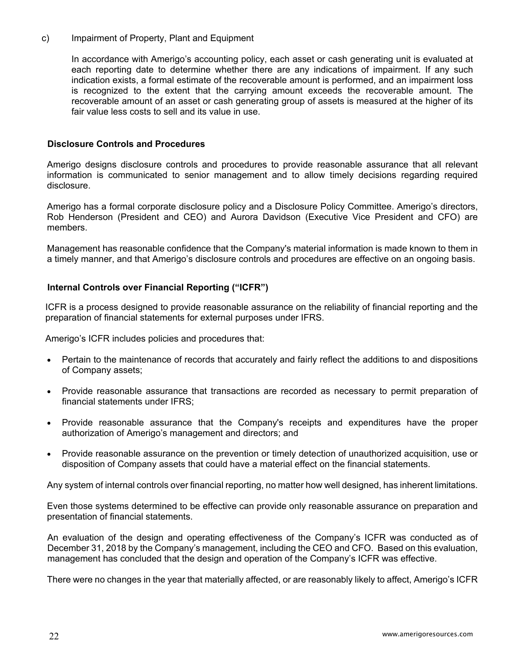c) Impairment of Property, Plant and Equipment

 In accordance with Amerigo's accounting policy, each asset or cash generating unit is evaluated at each reporting date to determine whether there are any indications of impairment. If any such indication exists, a formal estimate of the recoverable amount is performed, and an impairment loss is recognized to the extent that the carrying amount exceeds the recoverable amount. The recoverable amount of an asset or cash generating group of assets is measured at the higher of its fair value less costs to sell and its value in use.

#### **Disclosure Controls and Procedures**

Amerigo designs disclosure controls and procedures to provide reasonable assurance that all relevant information is communicated to senior management and to allow timely decisions regarding required disclosure.

Amerigo has a formal corporate disclosure policy and a Disclosure Policy Committee. Amerigo's directors, Rob Henderson (President and CEO) and Aurora Davidson (Executive Vice President and CFO) are members.

Management has reasonable confidence that the Company's material information is made known to them in a timely manner, and that Amerigo's disclosure controls and procedures are effective on an ongoing basis.

## **Internal Controls over Financial Reporting ("ICFR")**

ICFR is a process designed to provide reasonable assurance on the reliability of financial reporting and the preparation of financial statements for external purposes under IFRS.

Amerigo's ICFR includes policies and procedures that:

- Pertain to the maintenance of records that accurately and fairly reflect the additions to and dispositions of Company assets;
- Provide reasonable assurance that transactions are recorded as necessary to permit preparation of financial statements under IFRS;
- Provide reasonable assurance that the Company's receipts and expenditures have the proper authorization of Amerigo's management and directors; and
- Provide reasonable assurance on the prevention or timely detection of unauthorized acquisition, use or disposition of Company assets that could have a material effect on the financial statements.

Any system of internal controls over financial reporting, no matter how well designed, has inherent limitations.

Even those systems determined to be effective can provide only reasonable assurance on preparation and presentation of financial statements.

An evaluation of the design and operating effectiveness of the Company's ICFR was conducted as of December 31, 2018 by the Company's management, including the CEO and CFO. Based on this evaluation, management has concluded that the design and operation of the Company's ICFR was effective.

There were no changes in the year that materially affected, or are reasonably likely to affect, Amerigo's ICFR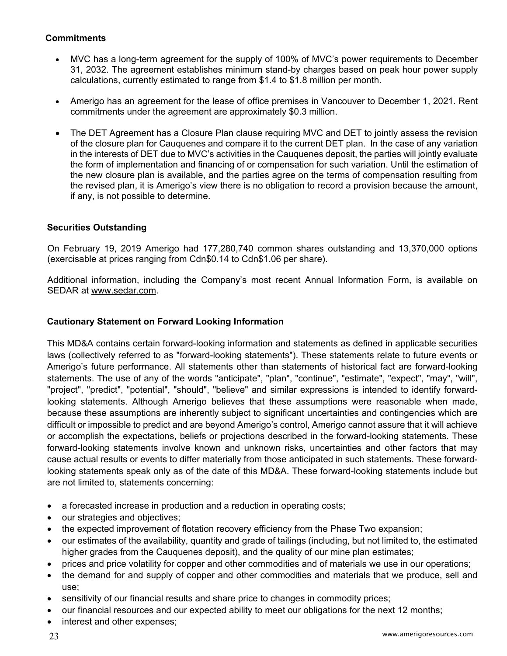# **Commitments**

- MVC has a long-term agreement for the supply of 100% of MVC's power requirements to December 31, 2032. The agreement establishes minimum stand-by charges based on peak hour power supply calculations, currently estimated to range from \$1.4 to \$1.8 million per month.
- Amerigo has an agreement for the lease of office premises in Vancouver to December 1, 2021. Rent commitments under the agreement are approximately \$0.3 million.
- The DET Agreement has a Closure Plan clause requiring MVC and DET to jointly assess the revision of the closure plan for Cauquenes and compare it to the current DET plan. In the case of any variation in the interests of DET due to MVC's activities in the Cauquenes deposit, the parties will jointly evaluate the form of implementation and financing of or compensation for such variation. Until the estimation of the new closure plan is available, and the parties agree on the terms of compensation resulting from the revised plan, it is Amerigo's view there is no obligation to record a provision because the amount, if any, is not possible to determine.

# **Securities Outstanding**

On February 19, 2019 Amerigo had 177,280,740 common shares outstanding and 13,370,000 options (exercisable at prices ranging from Cdn\$0.14 to Cdn\$1.06 per share).

Additional information, including the Company's most recent Annual Information Form, is available on SEDAR at www.sedar.com.

## **Cautionary Statement on Forward Looking Information**

This MD&A contains certain forward-looking information and statements as defined in applicable securities laws (collectively referred to as "forward-looking statements"). These statements relate to future events or Amerigo's future performance. All statements other than statements of historical fact are forward-looking statements. The use of any of the words "anticipate", "plan", "continue", "estimate", "expect", "may", "will", "project", "predict", "potential", "should", "believe" and similar expressions is intended to identify forwardlooking statements. Although Amerigo believes that these assumptions were reasonable when made, because these assumptions are inherently subject to significant uncertainties and contingencies which are difficult or impossible to predict and are beyond Amerigo's control, Amerigo cannot assure that it will achieve or accomplish the expectations, beliefs or projections described in the forward-looking statements. These forward-looking statements involve known and unknown risks, uncertainties and other factors that may cause actual results or events to differ materially from those anticipated in such statements. These forwardlooking statements speak only as of the date of this MD&A. These forward-looking statements include but are not limited to, statements concerning:

- a forecasted increase in production and a reduction in operating costs;
- our strategies and objectives;
- the expected improvement of flotation recovery efficiency from the Phase Two expansion;
- our estimates of the availability, quantity and grade of tailings (including, but not limited to, the estimated higher grades from the Cauquenes deposit), and the quality of our mine plan estimates;
- prices and price volatility for copper and other commodities and of materials we use in our operations;
- the demand for and supply of copper and other commodities and materials that we produce, sell and use;
- sensitivity of our financial results and share price to changes in commodity prices;
- our financial resources and our expected ability to meet our obligations for the next 12 months;
- interest and other expenses;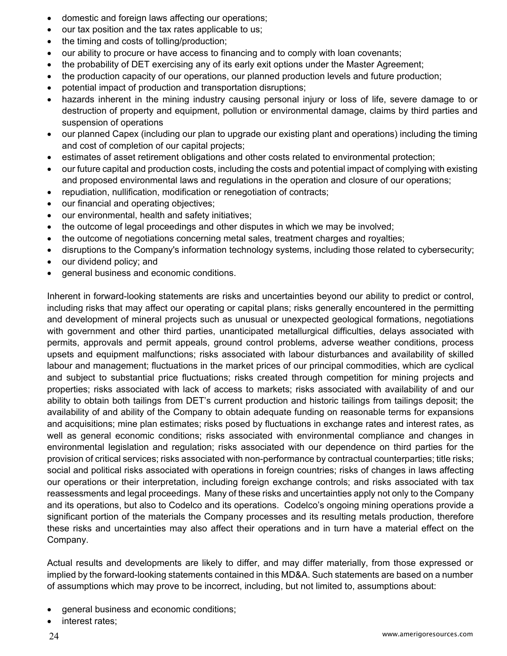- domestic and foreign laws affecting our operations;
- our tax position and the tax rates applicable to us;
- the timing and costs of tolling/production;
- our ability to procure or have access to financing and to comply with loan covenants;
- the probability of DET exercising any of its early exit options under the Master Agreement;
- the production capacity of our operations, our planned production levels and future production;
- potential impact of production and transportation disruptions;
- hazards inherent in the mining industry causing personal injury or loss of life, severe damage to or destruction of property and equipment, pollution or environmental damage, claims by third parties and suspension of operations
- our planned Capex (including our plan to upgrade our existing plant and operations) including the timing and cost of completion of our capital projects;
- estimates of asset retirement obligations and other costs related to environmental protection;
- our future capital and production costs, including the costs and potential impact of complying with existing and proposed environmental laws and regulations in the operation and closure of our operations;
- repudiation, nullification, modification or renegotiation of contracts;
- our financial and operating objectives;
- our environmental, health and safety initiatives;
- the outcome of legal proceedings and other disputes in which we may be involved;
- the outcome of negotiations concerning metal sales, treatment charges and royalties;
- disruptions to the Company's information technology systems, including those related to cybersecurity;
- our dividend policy; and
- general business and economic conditions.

Inherent in forward-looking statements are risks and uncertainties beyond our ability to predict or control, including risks that may affect our operating or capital plans; risks generally encountered in the permitting and development of mineral projects such as unusual or unexpected geological formations, negotiations with government and other third parties, unanticipated metallurgical difficulties, delays associated with permits, approvals and permit appeals, ground control problems, adverse weather conditions, process upsets and equipment malfunctions; risks associated with labour disturbances and availability of skilled labour and management; fluctuations in the market prices of our principal commodities, which are cyclical and subject to substantial price fluctuations; risks created through competition for mining projects and properties; risks associated with lack of access to markets; risks associated with availability of and our ability to obtain both tailings from DET's current production and historic tailings from tailings deposit; the availability of and ability of the Company to obtain adequate funding on reasonable terms for expansions and acquisitions; mine plan estimates; risks posed by fluctuations in exchange rates and interest rates, as well as general economic conditions; risks associated with environmental compliance and changes in environmental legislation and regulation; risks associated with our dependence on third parties for the provision of critical services; risks associated with non-performance by contractual counterparties; title risks; social and political risks associated with operations in foreign countries; risks of changes in laws affecting our operations or their interpretation, including foreign exchange controls; and risks associated with tax reassessments and legal proceedings. Many of these risks and uncertainties apply not only to the Company and its operations, but also to Codelco and its operations. Codelco's ongoing mining operations provide a significant portion of the materials the Company processes and its resulting metals production, therefore these risks and uncertainties may also affect their operations and in turn have a material effect on the Company.

Actual results and developments are likely to differ, and may differ materially, from those expressed or implied by the forward-looking statements contained in this MD&A. Such statements are based on a number of assumptions which may prove to be incorrect, including, but not limited to, assumptions about:

- general business and economic conditions;
- interest rates;